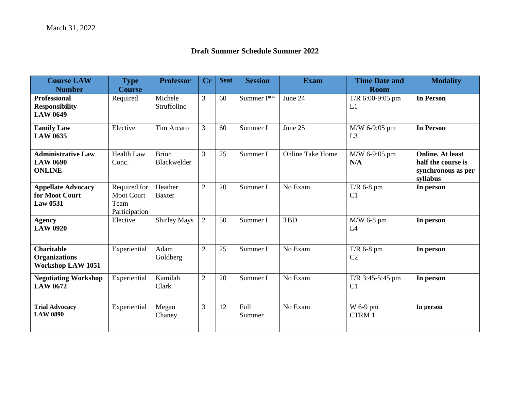## **Draft Summer Schedule Summer 2022**

| <b>Course LAW</b><br><b>Number</b>                                    | <b>Type</b><br><b>Course</b>                               | <b>Professor</b>            | <b>Cr</b>      | <b>Seat</b> | <b>Session</b> | <b>Exam</b>             | <b>Time Date and</b><br><b>Room</b>  | <b>Modality</b>                                                                 |
|-----------------------------------------------------------------------|------------------------------------------------------------|-----------------------------|----------------|-------------|----------------|-------------------------|--------------------------------------|---------------------------------------------------------------------------------|
| <b>Professional</b><br><b>Responsibility</b><br><b>LAW 0649</b>       | Required                                                   | Michele<br>Struffolino      | $\overline{3}$ | 60          | Summer I**     | June 24                 | T/R $6:00-9:05$ pm<br>L1             | <b>In Person</b>                                                                |
| <b>Family Law</b><br><b>LAW 0635</b>                                  | Elective                                                   | Tim Arcaro                  | 3              | 60          | Summer I       | June 25                 | M/W 6-9:05 pm<br>L3                  | <b>In Person</b>                                                                |
| <b>Administrative Law</b><br><b>LAW 0690</b><br><b>ONLINE</b>         | <b>Health Law</b><br>Conc.                                 | <b>Brion</b><br>Blackwelder | 3              | 25          | Summer I       | <b>Online Take Home</b> | M/W 6-9:05 pm<br>N/A                 | <b>Online.</b> At least<br>half the course is<br>synchronous as per<br>syllabus |
| <b>Appellate Advocacy</b><br>for Moot Court<br><b>Law 0531</b>        | Required for<br><b>Moot Court</b><br>Team<br>Participation | Heather<br><b>Baxter</b>    | 2              | 20          | Summer I       | No Exam                 | $T/R$ 6-8 pm<br>C <sub>1</sub>       | In person                                                                       |
| <b>Agency</b><br><b>LAW 0920</b>                                      | Elective                                                   | <b>Shirley Mays</b>         | 2              | 50          | Summer I       | <b>TBD</b>              | M/W 6-8 pm<br>L4                     | In person                                                                       |
| <b>Charitable</b><br><b>Organizations</b><br><b>Workshop LAW 1051</b> | Experiential                                               | Adam<br>Goldberg            | $\overline{2}$ | 25          | Summer I       | No Exam                 | $T/R$ 6-8 pm<br>C <sub>2</sub>       | In person                                                                       |
| <b>Negotiating Workshop</b><br><b>LAW 0672</b>                        | Experiential                                               | Kamilah<br>Clark            | $\overline{2}$ | 20          | Summer I       | No Exam                 | $T/R$ 3:45-5:45 pm<br>C <sub>1</sub> | In person                                                                       |
| <b>Trial Advocacy</b><br><b>LAW 0890</b>                              | Experiential                                               | Megan<br>Chaney             | $\overline{3}$ | 12          | Full<br>Summer | No Exam                 | W 6-9 pm<br>CTRM 1                   | In person                                                                       |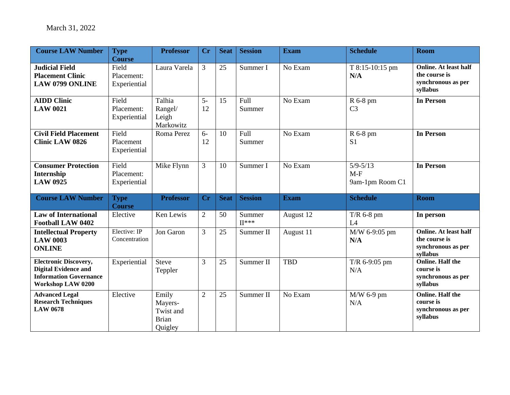| <b>Course LAW Number</b>                                                                                          | <b>Type</b><br><b>Course</b>        | <b>Professor</b>                                         | Cr             | <b>Seat</b> | <b>Session</b>        | <b>Exam</b> | <b>Schedule</b>                          | <b>Room</b>                                                                     |
|-------------------------------------------------------------------------------------------------------------------|-------------------------------------|----------------------------------------------------------|----------------|-------------|-----------------------|-------------|------------------------------------------|---------------------------------------------------------------------------------|
| <b>Judicial Field</b><br><b>Placement Clinic</b><br><b>LAW 0799 ONLINE</b>                                        | Field<br>Placement:<br>Experiential | Laura Varela                                             | 3              | 25          | Summer I              | No Exam     | T 8:15-10:15 pm<br>N/A                   | <b>Online. At least half</b><br>the course is<br>synchronous as per<br>syllabus |
| <b>AIDD Clinic</b><br><b>LAW 0021</b>                                                                             | Field<br>Placement:<br>Experiential | Talhia<br>Rangel/<br>Leigh<br>Markowitz                  | $5-$<br>12     | 15          | <b>Full</b><br>Summer | No Exam     | R 6-8 pm<br>C <sub>3</sub>               | <b>In Person</b>                                                                |
| <b>Civil Field Placement</b><br><b>Clinic LAW 0826</b>                                                            | Field<br>Placement<br>Experiential  | Roma Perez                                               | $6-$<br>12     | 10          | Full<br>Summer        | No Exam     | R 6-8 pm<br>S <sub>1</sub>               | <b>In Person</b>                                                                |
| <b>Consumer Protection</b><br>Internship<br><b>LAW 0925</b>                                                       | Field<br>Placement:<br>Experiential | Mike Flynn                                               | 3              | 10          | Summer I              | No Exam     | $5/9 - 5/13$<br>$M-F$<br>9am-1pm Room C1 | <b>In Person</b>                                                                |
| <b>Course LAW Number</b>                                                                                          | <b>Type</b><br><b>Course</b>        | <b>Professor</b>                                         | Cr             | <b>Seat</b> | <b>Session</b>        | <b>Exam</b> | <b>Schedule</b>                          | <b>Room</b>                                                                     |
| <b>Law of International</b><br><b>Football LAW 0402</b>                                                           | Elective                            | Ken Lewis                                                | $\overline{2}$ | 50          | Summer<br>$II***$     | August 12   | $T/R$ 6-8 pm<br>L4                       | In person                                                                       |
| <b>Intellectual Property</b><br><b>LAW 0003</b><br><b>ONLINE</b>                                                  | Elective: IP<br>Concentration       | Jon Garon                                                | 3              | 25          | Summer II             | August 11   | M/W 6-9:05 pm<br>N/A                     | <b>Online. At least half</b><br>the course is<br>synchronous as per<br>syllabus |
| <b>Electronic Discovery,</b><br><b>Digital Evidence and</b><br><b>Information Governance</b><br>Workshop LAW 0200 | Experiential                        | <b>Steve</b><br>Teppler                                  | 3              | 25          | Summer II             | TBD         | T/R 6-9:05 pm<br>N/A                     | <b>Online. Half the</b><br>course is<br>synchronous as per<br>syllabus          |
| <b>Advanced Legal</b><br><b>Research Techniques</b><br><b>LAW 0678</b>                                            | Elective                            | Emily<br>Mayers-<br>Twist and<br><b>Brian</b><br>Quigley | $\overline{2}$ | 25          | Summer II             | No Exam     | $M/W$ 6-9 pm<br>N/A                      | <b>Online. Half the</b><br>course is<br>synchronous as per<br>syllabus          |